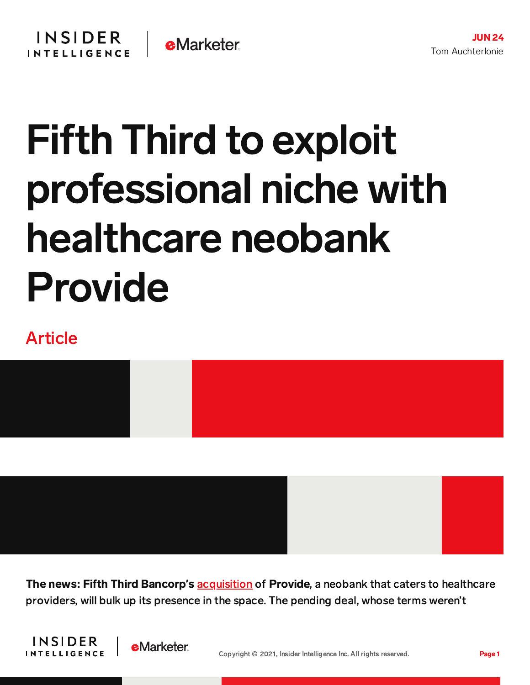## Fifth Third to exploit professional niche with healthcare neobank Provide

## Article



The news: Fifth Third Bancorp**'**s [acquisition](https://www.53.com/content/fifth-third/en/media-center/press-releases/2021/press-release-2021-06-22.html) of Provide, a neobank that caters to healthcare providers, will bulk up its presence in the space. The pending deal, whose terms weren't